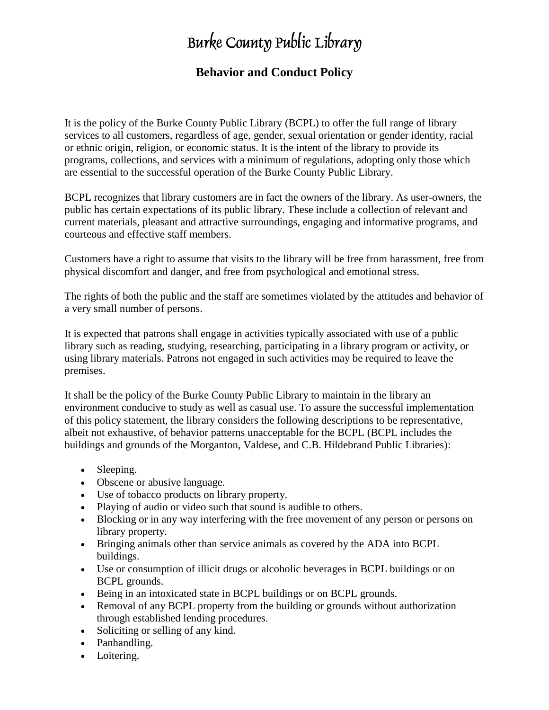# Burke County Public Library

# **Behavior and Conduct Policy**

It is the policy of the Burke County Public Library (BCPL) to offer the full range of library services to all customers, regardless of age, gender, sexual orientation or gender identity, racial or ethnic origin, religion, or economic status. It is the intent of the library to provide its programs, collections, and services with a minimum of regulations, adopting only those which are essential to the successful operation of the Burke County Public Library.

BCPL recognizes that library customers are in fact the owners of the library. As user-owners, the public has certain expectations of its public library. These include a collection of relevant and current materials, pleasant and attractive surroundings, engaging and informative programs, and courteous and effective staff members.

Customers have a right to assume that visits to the library will be free from harassment, free from physical discomfort and danger, and free from psychological and emotional stress.

The rights of both the public and the staff are sometimes violated by the attitudes and behavior of a very small number of persons.

It is expected that patrons shall engage in activities typically associated with use of a public library such as reading, studying, researching, participating in a library program or activity, or using library materials. Patrons not engaged in such activities may be required to leave the premises.

It shall be the policy of the Burke County Public Library to maintain in the library an environment conducive to study as well as casual use. To assure the successful implementation of this policy statement, the library considers the following descriptions to be representative, albeit not exhaustive, of behavior patterns unacceptable for the BCPL (BCPL includes the buildings and grounds of the Morganton, Valdese, and C.B. Hildebrand Public Libraries):

- Sleeping.
- Obscene or abusive language.
- Use of tobacco products on library property.
- Playing of audio or video such that sound is audible to others.
- Blocking or in any way interfering with the free movement of any person or persons on library property.
- Bringing animals other than service animals as covered by the ADA into BCPL buildings.
- Use or consumption of illicit drugs or alcoholic beverages in BCPL buildings or on BCPL grounds.
- Being in an intoxicated state in BCPL buildings or on BCPL grounds.
- Removal of any BCPL property from the building or grounds without authorization through established lending procedures.
- Soliciting or selling of any kind.
- Panhandling.
- Loitering.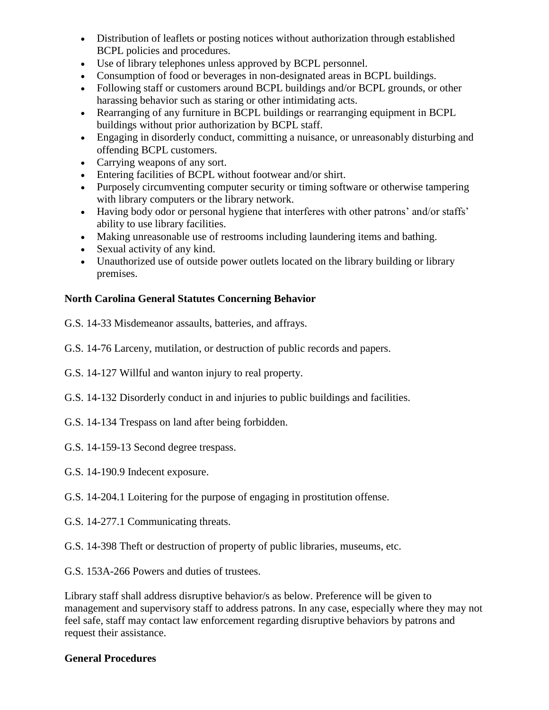- Distribution of leaflets or posting notices without authorization through established BCPL policies and procedures.
- Use of library telephones unless approved by BCPL personnel.
- Consumption of food or beverages in non-designated areas in BCPL buildings.
- Following staff or customers around BCPL buildings and/or BCPL grounds, or other harassing behavior such as staring or other intimidating acts.
- Rearranging of any furniture in BCPL buildings or rearranging equipment in BCPL buildings without prior authorization by BCPL staff.
- Engaging in disorderly conduct, committing a nuisance, or unreasonably disturbing and offending BCPL customers.
- Carrying weapons of any sort.
- Entering facilities of BCPL without footwear and/or shirt.
- Purposely circumventing computer security or timing software or otherwise tampering with library computers or the library network.
- Having body odor or personal hygiene that interferes with other patrons' and/or staffs' ability to use library facilities.
- Making unreasonable use of restrooms including laundering items and bathing.
- Sexual activity of any kind.
- Unauthorized use of outside power outlets located on the library building or library premises.

## **North Carolina General Statutes Concerning Behavior**

G.S. 14-33 Misdemeanor assaults, batteries, and affrays.

- G.S. 14-76 Larceny, mutilation, or destruction of public records and papers.
- G.S. 14-127 Willful and wanton injury to real property.
- G.S. 14-132 Disorderly conduct in and injuries to public buildings and facilities.
- G.S. 14-134 Trespass on land after being forbidden.
- G.S. 14-159-13 Second degree trespass.
- G.S. 14-190.9 Indecent exposure.
- G.S. 14-204.1 Loitering for the purpose of engaging in prostitution offense.
- G.S. 14-277.1 Communicating threats.
- G.S. 14-398 Theft or destruction of property of public libraries, museums, etc.
- G.S. 153A-266 Powers and duties of trustees.

Library staff shall address disruptive behavior/s as below. Preference will be given to management and supervisory staff to address patrons. In any case, especially where they may not feel safe, staff may contact law enforcement regarding disruptive behaviors by patrons and request their assistance.

### **General Procedures**